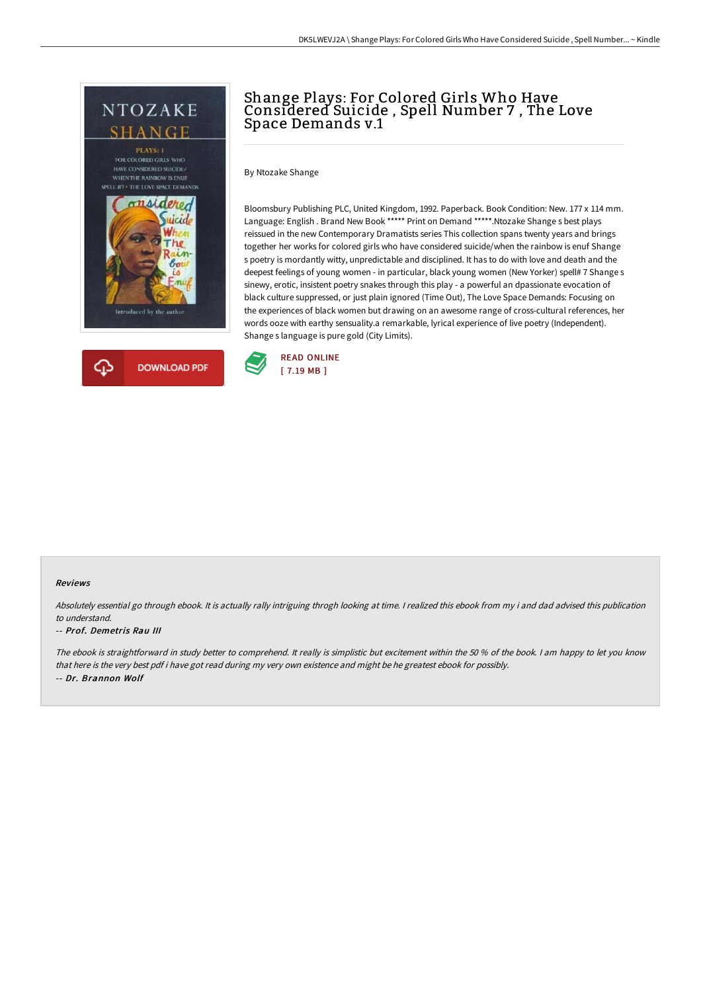



**DOWNLOAD PDF** 

Shange Plays: For Colored Girls Who Have Considered Suicide , Spell Number 7 , The Love Space Demands v.1

By Ntozake Shange

Bloomsbury Publishing PLC, United Kingdom, 1992. Paperback. Book Condition: New. 177 x 114 mm. Language: English . Brand New Book \*\*\*\*\* Print on Demand \*\*\*\*\*.Ntozake Shange s best plays reissued in the new Contemporary Dramatists series This collection spans twenty years and brings together her works for colored girls who have considered suicide/when the rainbow is enuf Shange s poetry is mordantly witty, unpredictable and disciplined. It has to do with love and death and the deepest feelings of young women - in particular, black young women (New Yorker) spell# 7 Shange s sinewy, erotic, insistent poetry snakes through this play - a powerful an dpassionate evocation of black culture suppressed, or just plain ignored (Time Out), The Love Space Demands: Focusing on the experiences of black women but drawing on an awesome range of cross-cultural references, her words ooze with earthy sensuality.a remarkable, lyrical experience of live poetry (Independent). Shange s language is pure gold (City Limits).



#### Reviews

Absolutely essential go through ebook. It is actually rally intriguing throgh looking at time. I realized this ebook from my i and dad advised this publication to understand.

#### -- Prof. Demetris Rau III

क़

The ebook is straightforward in study better to comprehend. It really is simplistic but excitement within the <sup>50</sup> % of the book. <sup>I</sup> am happy to let you know that here is the very best pdf i have got read during my very own existence and might be he greatest ebook for possibly. -- Dr. Brannon Wolf